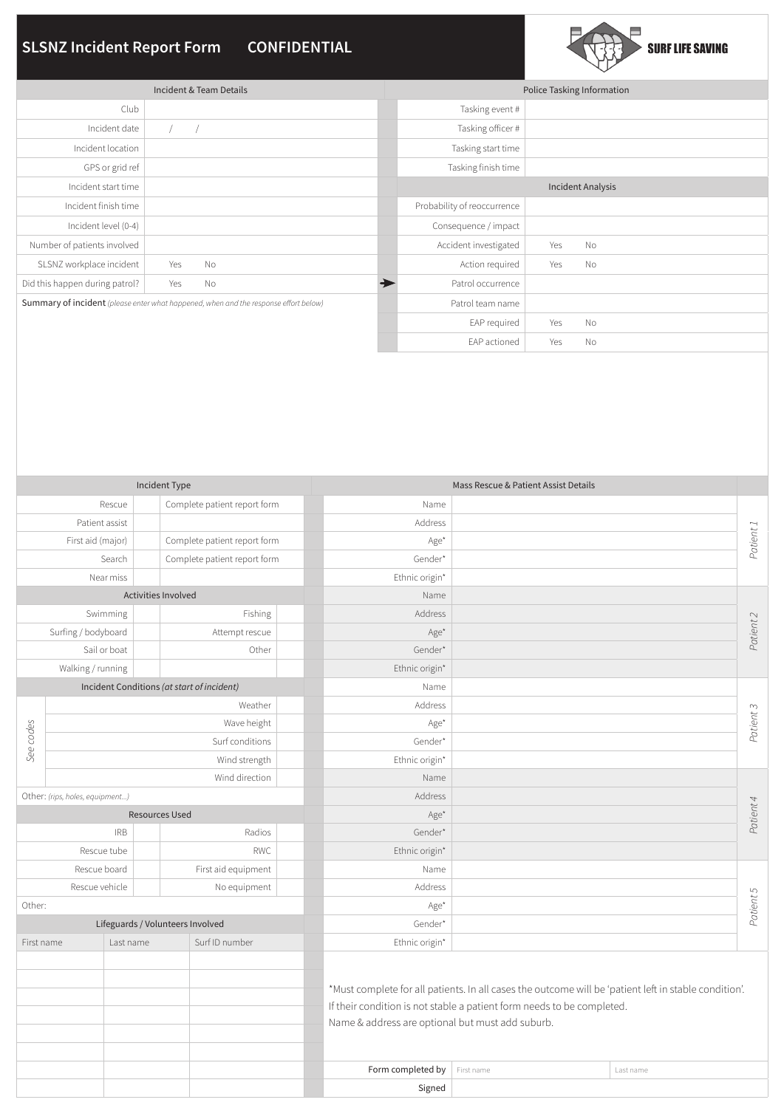# **SLSNZ Incident Report Form CONFIDENTIAL**



|                                                                                      | Police Tasking Information |                             |                          |           |  |
|--------------------------------------------------------------------------------------|----------------------------|-----------------------------|--------------------------|-----------|--|
| Club                                                                                 |                            | Tasking event #             |                          |           |  |
| Incident date                                                                        |                            | Tasking officer #           |                          |           |  |
| Incident location                                                                    |                            | Tasking start time          |                          |           |  |
| GPS or grid ref                                                                      |                            | Tasking finish time         |                          |           |  |
| Incident start time                                                                  |                            |                             | <b>Incident Analysis</b> |           |  |
| Incident finish time                                                                 |                            | Probability of reoccurrence |                          |           |  |
| Incident level (0-4)                                                                 |                            | Consequence / impact        |                          |           |  |
| Number of patients involved                                                          |                            | Accident investigated       | Yes                      | No        |  |
| SLSNZ workplace incident                                                             | No<br>Yes                  | Action required             | Yes                      | No        |  |
| Did this happen during patrol?                                                       | Yes<br>No                  | Patrol occurrence           |                          |           |  |
| Summary of incident (please enter what happened, when and the response effort below) |                            | Patrol team name            |                          |           |  |
|                                                                                      |                            | EAP required                | Yes                      | <b>No</b> |  |
|                                                                                      |                            | EAP actioned                | Yes                      | <b>No</b> |  |

| Incident Type                                     |                   |                              |                              |                                                  | Mass Rescue & Patient Assist Details                                                                                                                                            |           |           |  |  |
|---------------------------------------------------|-------------------|------------------------------|------------------------------|--------------------------------------------------|---------------------------------------------------------------------------------------------------------------------------------------------------------------------------------|-----------|-----------|--|--|
|                                                   | Rescue            |                              | Complete patient report form | Name                                             |                                                                                                                                                                                 |           |           |  |  |
| Patient assist                                    |                   | Address                      |                              |                                                  | Patient 1                                                                                                                                                                       |           |           |  |  |
| Complete patient report form<br>First aid (major) |                   | Age*                         |                              |                                                  |                                                                                                                                                                                 |           |           |  |  |
| Search                                            |                   | Complete patient report form | Gender*                      |                                                  |                                                                                                                                                                                 |           |           |  |  |
|                                                   | Near miss         |                              |                              | Ethnic origin*                                   |                                                                                                                                                                                 |           |           |  |  |
| Activities Involved                               |                   |                              |                              | Name                                             |                                                                                                                                                                                 |           |           |  |  |
|                                                   | Swimming          |                              | Fishing                      | Address                                          |                                                                                                                                                                                 |           |           |  |  |
| Surfing / bodyboard                               |                   | Attempt rescue               | Age*                         |                                                  |                                                                                                                                                                                 | Patient 2 |           |  |  |
|                                                   | Sail or boat      |                              | Other                        | Gender*                                          |                                                                                                                                                                                 |           |           |  |  |
|                                                   | Walking / running |                              |                              | Ethnic origin*                                   |                                                                                                                                                                                 |           |           |  |  |
| Incident Conditions (at start of incident)        |                   |                              |                              | Name                                             |                                                                                                                                                                                 |           |           |  |  |
|                                                   |                   |                              | Weather                      | Address                                          |                                                                                                                                                                                 |           | Patient 3 |  |  |
|                                                   |                   |                              | Wave height                  | Age*                                             |                                                                                                                                                                                 |           |           |  |  |
| See codes<br>Surf conditions                      |                   | Gender*                      |                              |                                                  |                                                                                                                                                                                 |           |           |  |  |
|                                                   |                   |                              | Wind strength                | Ethnic origin*                                   |                                                                                                                                                                                 |           |           |  |  |
| Wind direction                                    |                   |                              |                              | Name                                             |                                                                                                                                                                                 |           |           |  |  |
| Other: (rips, holes, equipment)                   |                   |                              |                              | Address                                          |                                                                                                                                                                                 |           |           |  |  |
| <b>Resources Used</b>                             |                   |                              |                              | Age*                                             |                                                                                                                                                                                 |           | Patient 4 |  |  |
| <b>IRB</b><br>Radios                              |                   | Gender*                      |                              |                                                  |                                                                                                                                                                                 |           |           |  |  |
| Rescue tube                                       |                   | <b>RWC</b>                   | Ethnic origin*               |                                                  |                                                                                                                                                                                 |           |           |  |  |
| Rescue board                                      |                   |                              | First aid equipment          | Name                                             |                                                                                                                                                                                 |           |           |  |  |
| Rescue vehicle                                    |                   | No equipment                 | Address                      |                                                  |                                                                                                                                                                                 | Patient 5 |           |  |  |
| Other:                                            |                   |                              |                              | Age*                                             |                                                                                                                                                                                 |           |           |  |  |
| Lifeguards / Volunteers Involved                  |                   |                              |                              | Gender*                                          |                                                                                                                                                                                 |           |           |  |  |
| First name                                        |                   | Last name                    | Surf ID number               | Ethnic origin*                                   |                                                                                                                                                                                 |           |           |  |  |
|                                                   |                   |                              |                              | Name & address are optional but must add suburb. | *Must complete for all patients. In all cases the outcome will be 'patient left in stable condition'.<br>If their condition is not stable a patient form needs to be completed. |           |           |  |  |
|                                                   |                   |                              |                              | Form completed by                                | First name                                                                                                                                                                      | Last name |           |  |  |
|                                                   |                   |                              |                              | Signed                                           |                                                                                                                                                                                 |           |           |  |  |